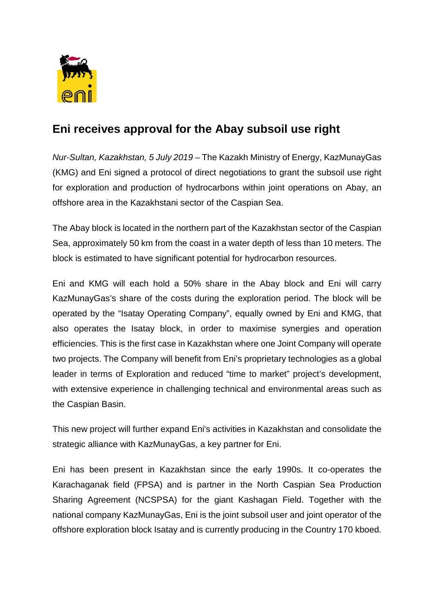

## **Eni receives approval for the Abay subsoil use right**

*Nur-Sultan, Kazakhstan, 5 July 2019* – The Kazakh Ministry of Energy, KazMunayGas (KMG) and Eni signed a protocol of direct negotiations to grant the subsoil use right for exploration and production of hydrocarbons within joint operations on Abay, an offshore area in the Kazakhstani sector of the Caspian Sea.

The Abay block is located in the northern part of the Kazakhstan sector of the Caspian Sea, approximately 50 km from the coast in a water depth of less than 10 meters. The block is estimated to have significant potential for hydrocarbon resources.

Eni and KMG will each hold a 50% share in the Abay block and Eni will carry KazMunayGas's share of the costs during the exploration period. The block will be operated by the "Isatay Operating Company", equally owned by Eni and KMG, that also operates the Isatay block, in order to maximise synergies and operation efficiencies. This is the first case in Kazakhstan where one Joint Company will operate two projects. The Company will benefit from Eni's proprietary technologies as a global leader in terms of Exploration and reduced "time to market" project's development, with extensive experience in challenging technical and environmental areas such as the Caspian Basin.

This new project will further expand Eni's activities in Kazakhstan and consolidate the strategic alliance with KazMunayGas, a key partner for Eni.

Eni has been present in Kazakhstan since the early 1990s. It co-operates the Karachaganak field (FPSA) and is partner in the North Caspian Sea Production Sharing Agreement (NCSPSA) for the giant Kashagan Field. Together with the national company KazMunayGas, Eni is the joint subsoil user and joint operator of the offshore exploration block Isatay and is currently producing in the Country 170 kboed.